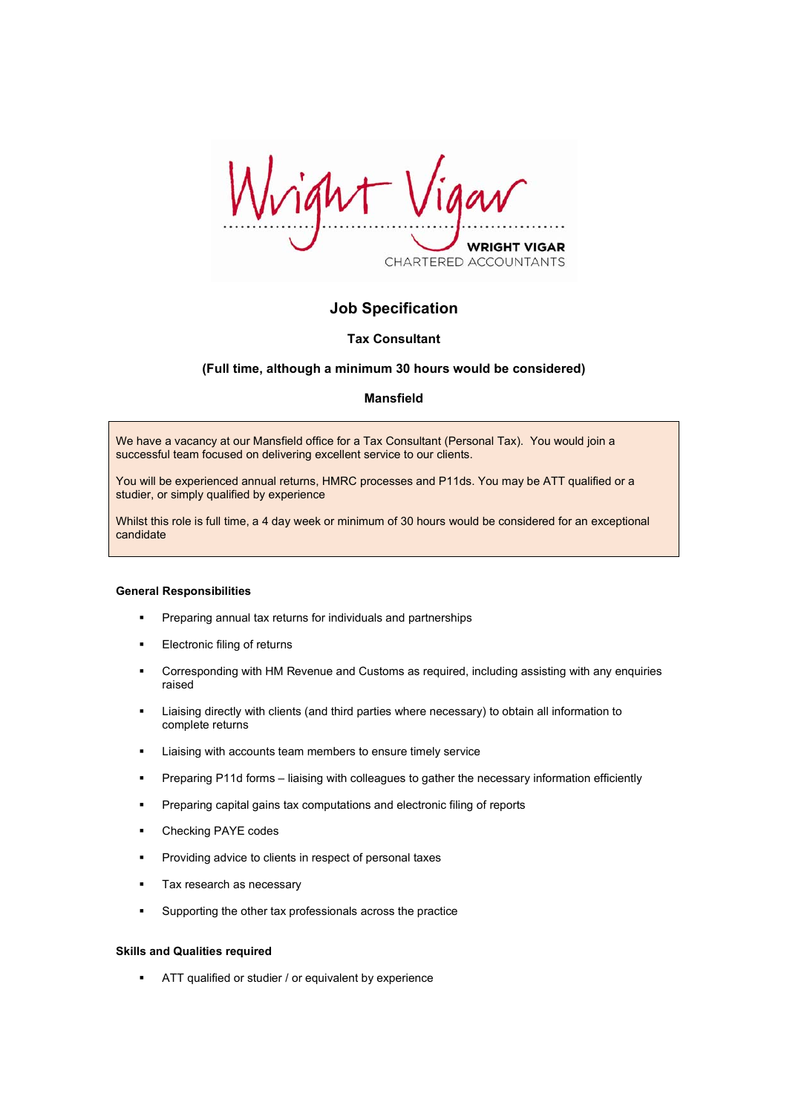right **VRIGHT VIGAR** CHARTERED ACCOUNTANTS

# **Job Specification**

# **Tax Consultant**

# **(Full time, although a minimum 30 hours would be considered)**

## **Mansfield**

We have a vacancy at our Mansfield office for a Tax Consultant (Personal Tax). You would join a successful team focused on delivering excellent service to our clients.

You will be experienced annual returns, HMRC processes and P11ds. You may be ATT qualified or a studier, or simply qualified by experience

Whilst this role is full time, a 4 day week or minimum of 30 hours would be considered for an exceptional candidate

#### **General Responsibilities**

- **Preparing annual tax returns for individuals and partnerships**
- Electronic filing of returns
- Corresponding with HM Revenue and Customs as required, including assisting with any enquiries raised
- Liaising directly with clients (and third parties where necessary) to obtain all information to complete returns
- **EXECO EXECOMEDE EXECOMEDED EXECOMEDED** Liaising with accounts team members to ensure timely service
- Preparing P11d forms liaising with colleagues to gather the necessary information efficiently
- **Preparing capital gains tax computations and electronic filing of reports**
- Checking PAYE codes
- Providing advice to clients in respect of personal taxes
- **Tax research as necessary**
- Supporting the other tax professionals across the practice

### **Skills and Qualities required**

ATT qualified or studier / or equivalent by experience